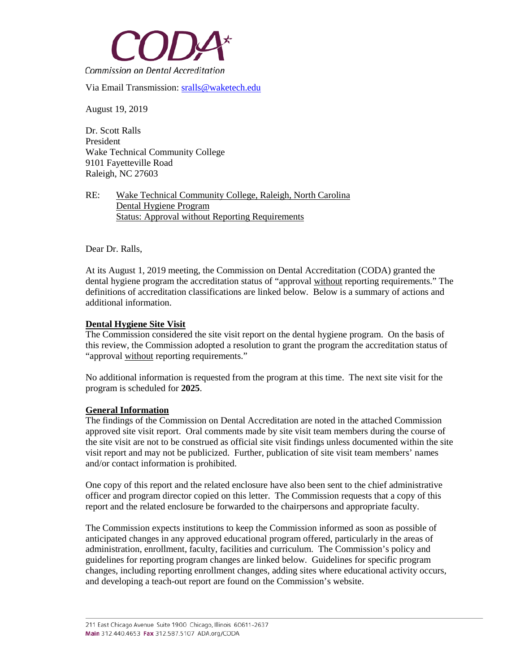

Via Email Transmission: [sralls@waketech.edu](mailto:sralls@waketech.edu)

August 19, 2019

Dr. Scott Ralls President Wake Technical Community College 9101 Fayetteville Road Raleigh, NC 27603

RE: Wake Technical Community College, Raleigh, North Carolina Dental Hygiene Program Status: Approval without Reporting Requirements

Dear Dr. Ralls,

At its August 1, 2019 meeting, the Commission on Dental Accreditation (CODA) granted the dental hygiene program the accreditation status of "approval without reporting requirements." The definitions of accreditation classifications are linked below. Below is a summary of actions and additional information.

## **Dental Hygiene Site Visit**

The Commission considered the site visit report on the dental hygiene program. On the basis of this review, the Commission adopted a resolution to grant the program the accreditation status of "approval without reporting requirements."

No additional information is requested from the program at this time. The next site visit for the program is scheduled for **2025**.

## **General Information**

The findings of the Commission on Dental Accreditation are noted in the attached Commission approved site visit report. Oral comments made by site visit team members during the course of the site visit are not to be construed as official site visit findings unless documented within the site visit report and may not be publicized. Further, publication of site visit team members' names and/or contact information is prohibited.

One copy of this report and the related enclosure have also been sent to the chief administrative officer and program director copied on this letter. The Commission requests that a copy of this report and the related enclosure be forwarded to the chairpersons and appropriate faculty.

The Commission expects institutions to keep the Commission informed as soon as possible of anticipated changes in any approved educational program offered, particularly in the areas of administration, enrollment, faculty, facilities and curriculum. The Commission's policy and guidelines for reporting program changes are linked below. Guidelines for specific program changes, including reporting enrollment changes, adding sites where educational activity occurs, and developing a teach-out report are found on the Commission's website.